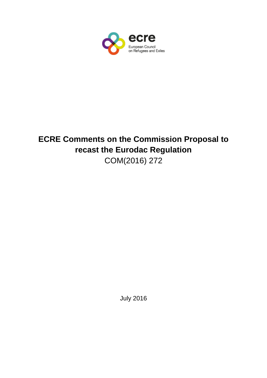

# **ECRE Comments on the Commission Proposal to recast the Eurodac Regulation**  COM(2016) 272

July 2016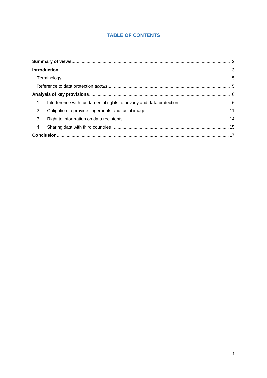# **TABLE OF CONTENTS**

| 2. |  |
|----|--|
| 3. |  |
| 4. |  |
|    |  |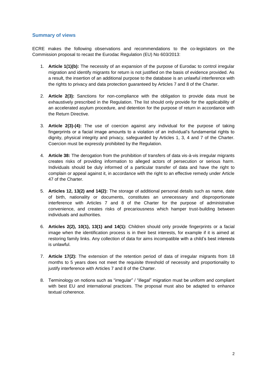# <span id="page-2-0"></span>**Summary of views**

ECRE makes the following observations and recommendations to the co-legislators on the Commission proposal to recast the Eurodac Regulation (EU) No 603/2013:

- 1. **Article 1(1)(b):** The necessity of an expansion of the purpose of Eurodac to control irregular migration and identify migrants for return is not justified on the basis of evidence provided. As a result, the insertion of an additional purpose to the database is an unlawful interference with the rights to privacy and data protection guaranteed by Articles 7 and 8 of the Charter.
- 2. **Article 2(3):** Sanctions for non-compliance with the obligation to provide data must be exhaustively prescribed in the Regulation. The list should only provide for the applicability of an accelerated asylum procedure, and detention for the purpose of return in accordance with the Return Directive.
- 3. **Article 2(3)-(4):** The use of coercion against any individual for the purpose of taking fingerprints or a facial image amounts to a violation of an individual's fundamental rights to dignity, physical integrity and privacy, safeguarded by Articles 1, 3, 4 and 7 of the Charter. Coercion must be expressly prohibited by the Regulation.
- 4. **Article 38:** The derogation from the prohibition of transfers of data vis-à-vis irregular migrants creates risks of providing information to alleged actors of persecution or serious harm. Individuals should be duly informed of a particular transfer of data and have the right to complain or appeal against it, in accordance with the right to an effective remedy under Article 47 of the Charter.
- 5. **Articles 12, 13(2) and 14(2):** The storage of additional personal details such as name, date of birth, nationality or documents, constitutes an unnecessary and disproportionate interference with Articles 7 and 8 of the Charter for the purpose of administrative convenience, and creates risks of precariousness which hamper trust-building between individuals and authorities.
- 6. **Articles 2(2), 10(1), 13(1) and 14(1):** Children should only provide fingerprints or a facial image when the identification process is in their best interests, for example if it is aimed at restoring family links. Any collection of data for aims incompatible with a child's best interests is unlawful.
- 7. **Article 17(2):** The extension of the retention period of data of irregular migrants from 18 months to 5 years does not meet the requisite threshold of necessity and proportionality to justify interference with Articles 7 and 8 of the Charter.
- 8. Terminology on notions such as "irregular" / "illegal" migration must be uniform and compliant with best EU and international practices. The proposal must also be adapted to enhance textual coherence.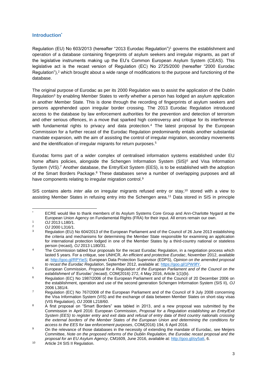# <span id="page-3-0"></span>**Introduction\***

Regulation (EU) No 603/2013 (hereafter "2013 Eurodac Regulation")<sup>1</sup> governs the establishment and operation of a database containing fingerprints of asylum seekers and irregular migrants, as part of the legislative instruments making up the EU's Common European Asylum System (CEAS). This legislative act is the recast version of Regulation (EC) No 2725/2000 (hereafter "2000 Eurodac Regulation"), <sup>2</sup> which brought about a wide range of modifications to the purpose and functioning of the database.

The original purpose of Eurodac as per its 2000 Regulation was to assist the application of the Dublin Regulation<sup>3</sup> by enabling Member States to verify whether a person has lodged an asylum application in another Member State. This is done through the recording of fingerprints of asylum seekers and persons apprehended upon irregular border crossing. The 2013 Eurodac Regulation introduced access to the database by law enforcement authorities for the prevention and detection of terrorism and other serious offences, in a move that sparked high controversy and critique for its interference with fundamental rights to privacy and data protection.<sup>4</sup> The latest proposal by the European Commission for a further recast of the Eurodac Regulation predominantly entails another substantial mandate expansion, with the aim of assisting the control of irregular migration, secondary movements and the identification of irregular migrants for return purposes.<sup>5</sup>

Eurodac forms part of a wider complex of centralised information systems established under EU home affairs policies, alongside the Schengen Information System  $(SIS)^6$  and Visa Information System (VIS).<sup>7</sup> Another database, the Entry/Exit System (EES), is to be established with the adoption of the Smart Borders Package.<sup>8</sup> These databases serve a number of overlapping purposes and all have components relating to irregular migration control.<sup>9</sup>

SIS contains alerts *inter alia* on irregular migrants refused entry or stay, <sup>10</sup> stored with a view to assisting Member States in refusing entry into the Schengen area.<sup>11</sup> Data stored in SIS in principle

<sup>1</sup> ECRE would like to thank members of its Asylum Systems Core Group and Ann-Charlotte Nygard at the European Union Agency on Fundamental Rights (FRA) for their input. All errors remain our own.

<sup>1</sup> *OJ* 2013 L180/1.

<sup>2</sup> *OJ* 2000 L316/1.

Regulation (EU) No 604/2013 of the European Parliament and of the Council of 26 June 2013 establishing the criteria and mechanisms for determining the Member State responsible for examining an application for international protection lodged in one of the Member States by a third-country national or stateless person (recast), *OJ* 2013 L180/31.

<sup>&</sup>lt;sup>4</sup> The Commission tabled four proposals for the recast Eurodac Regulation, in a negotiation process which lasted 5 years. For a critique, see UNHCR, *An efficient and protective Eurodac*, November 2012, available at: [http://goo.gl/RPYieS;](http://goo.gl/RPYieS) European Data Protection Supervisor (EDPS), *Opinion on the amended proposal to recast the Eurodac Regulation*, September 2012, available at: [https://goo.gl/1PW9fY.](https://goo.gl/1PW9fY)

<sup>5</sup> European Commission, *Proposal for a Regulation of the European Parliament and of the Council on the establishment of 'Eurodac' (recast)*, COM(2016) 272, 4 May 2016, Article 1(1)(b).

<sup>&</sup>lt;sup>6</sup> Regulation (EC) No 1987/2006 of the European Parliament and of the Council of 20 December 2006 on the establishment, operation and use of the second generation Schengen Information System (SIS II), *OJ*  2006 L381/4.

<sup>7</sup> Regulation (EC) No 767/2008 of the European Parliament and of the Council of 9 July 2008 concerning the Visa Information System (VIS) and the exchange of data between Member States on short-stay visas (VIS Regulation), *OJ* 2008 L218/60.

<sup>&</sup>lt;sup>8</sup> A first proposal on "Smart Borders" was tabled in 2013, and a new proposal was submitted by the Commission in April 2016: European Commission, *Proposal for a Regulation establishing an Entry/Exit System (EES) to register entry and exit data and refusal of entry data of third country nationals crossing the external borders of the Member States of the European Union and determining the conditions for access to the EES for law enforcement purposes*, COM(2016) 194, 6 April 2016.

<sup>&</sup>lt;sup>9</sup> On the relevance of those databases in the necessity of extending the mandate of Eurodac, see Meijers Committee, *Note on the proposed reforms of the Dublin Regulation, the Eurodac recast proposal and the proposal for an EU Asylum Agency*, CM1609, June 2016, available at[: http://goo.gl/oy5att,](http://goo.gl/oy5att) 6.

<sup>10</sup> Article 24 SIS II Regulation.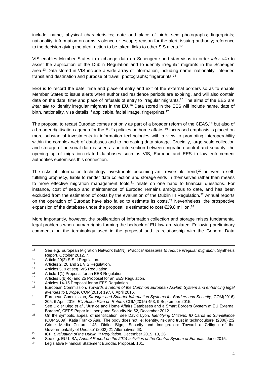include: name, physical characteristics; date and place of birth; sex; photographs; fingerprints; nationality; information on arms, violence or escape; reason for the alert; issuing authority; reference to the decision giving the alert; action to be taken; links to other SIS alerts.<sup>12</sup>

VIS enables Member States to exchange data on Schengen short-stay visas in order *inter alia* to assist the application of the Dublin Regulation and to identify irregular migrants in the Schengen area. <sup>13</sup> Data stored in VIS include a wide array of information, including name, nationality, intended transit and destination and purpose of travel; photographs; fingerprints.<sup>14</sup>

EES is to record the date, time and place of entry and exit of the external borders so as to enable Member States to issue alerts when authorised residence periods are expiring, and will also contain data on the date, time and place of refusals of entry to irregular migrants.<sup>15</sup> The aims of the EES are *inter alia* to identify irregular migrants in the EU.<sup>16</sup> Data stored in the EES will include name, date of birth, nationality, visa details if applicable, facial image, fingerprints.<sup>17</sup>

The proposal to recast Eurodac comes not only as part of a broader reform of the CEAS,<sup>18</sup> but also of a broader digitisation agenda for the EU's policies on home affairs. <sup>19</sup> Increased emphasis is placed on more substantial investments in information technologies with a view to promoting interoperability within the complex web of databases and to increasing data storage. Crucially, large-scale collection and storage of personal data is seen as an intersection between migration control and security; the opening up of migration-related databases such as VIS, Eurodac and EES to law enforcement authorities epitomises this connection.

The risks of information technology investments becoming an irreversible trend,<sup>20</sup> or even a selffulfilling prophecy, liable to render data collection and storage ends in themselves rather than means to more effective migration management tools, $21$  relate on one hand to financial questions. For instance, cost of setup and maintenance of Eurodac remains ambiguous to date, and has been excluded from the estimation of costs by the evaluation of the Dublin III Regulation.<sup>22</sup> Annual reports on the operation of Eurodac have also failed to estimate its costs.<sup>23</sup> Nevertheless, the prospective expansion of the database under the proposal is estimated to cost €29.8 million.<sup>24</sup>

More importantly, however, the proliferation of information collection and storage raises fundamental legal problems when human rights forming the bedrock of EU law are violated. Following preliminary comments on the terminology used in the proposal and its relationship with the General Data

<u>.</u>

<sup>11</sup> See e.g. European Migration Network (EMN), *Practical measures to reduce irregular migration*, Synthesis Report, October 2012, 7.

 $12$  Article 20(2) SIS II Regulation.

<sup>13</sup> Articles 2, 20 and 21 VIS Regulation.<br>14 Articles 5, 9 et seq. VIS Regulation.

<sup>14</sup> Articles 5, 9 et seq. VIS Regulation.<br>15 Article 1(1) Prepagal for an EES Box

<sup>&</sup>lt;sup>15</sup> Article 1(1) Proposal for an EES Regulation.<br> $\frac{16}{25}$  Articles  $F(h)$  (c) and 25 Proposal for an EES

<sup>&</sup>lt;sup>16</sup> Articles  $5(b)$ -(c) and 25 Proposal for an EES Regulation.<br><sup>17</sup> Articles 14-15 Proposal for an EES Regulation.

<sup>&</sup>lt;sup>17</sup> Articles 14-15 Proposal for an EES Regulation.<br><sup>18</sup> European Commission, *Towards a reform of th* 

<sup>18</sup> European Commission, *Towards a reform of the Common European Asylum System and enhancing legal avenues to Europe*, COM(2016) 197, 6 April 2016.

<sup>19</sup> European Commission, *Stronger and Smarter Information Systems for Borders and Security*, COM(2016) 205, 6 April 2016; *EU Action Plan on Return*, COM(2015) 453, 9 September 2015.

<sup>20</sup> See Didier Bigo *et al.*, 'Justice and Home Affairs Databases and a Smart Borders System at EU External Borders', CEPS Paper in Liberty and Security No 52, December 2012.

<sup>21</sup> On the symbolic appeal of identification, see David Lyon, *Identifying Citizens: ID Cards as Surveillance*  (CUP 2009); Katja Franko Aas, 'The body does not lie: Identity, risk and trust in technoculture' (2006) 2:2 Crime Media Culture 143; Didier Bigo, 'Security and Immigration: Toward a Critique of the Governmentality of Unease' (2002) 21 Alternatives 63.

<sup>22</sup> ICF, *Evaluation of the Dublin III Regulation*, December 2015, 13, 26.

<sup>&</sup>lt;sup>23</sup> See e.g. EU-LISA, *Annual Report on the 2014 activities of the Central System of Eurodac, June 2015.*<br><sup>24</sup> Logislative Einancial Statement Eurodac Proposal 101

Legislative Financial Statement Eurodac Proposal, 101.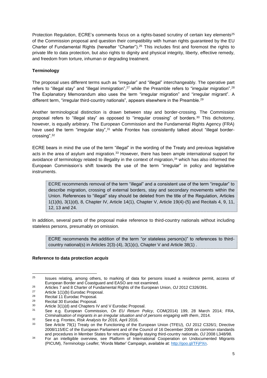Protection Regulation, ECRE's comments focus on a rights-based scrutiny of certain key elements<sup>25</sup> of the Commission proposal and question their compatibility with human rights guaranteed by the EU Charter of Fundamental Rights (hereafter "Charter"). <sup>26</sup> This includes first and foremost the rights to private life to data protection, but also rights to dignity and physical integrity, liberty, effective remedy, and freedom from torture, inhuman or degrading treatment.

# <span id="page-5-0"></span>**Terminology**

The proposal uses different terms such as "irregular" and "illegal" interchangeably. The operative part refers to "illegal stay" and "illegal immigration",<sup>27</sup> while the Preamble refers to "irregular migration".<sup>28</sup> The Explanatory Memorandum also uses the term "irregular migration" and "irregular migrant". A different term, "irregular third-country nationals", appears elsewhere in the Preamble.<sup>29</sup>

Another terminological distinction is drawn between stay and border-crossing. The Commission proposal refers to "illegal stay" as opposed to "irregular crossing" of borders.<sup>30</sup> This dichotomy, however, is equally arbitrary. The European Commission and the Fundamental Rights Agency (FRA) have used the term "irregular stay",<sup>31</sup> while Frontex has consistently talked about "illegal bordercrossing".<sup>32</sup>

ECRE bears in mind the use of the term "illegal" in the wording of the Treaty and previous legislative acts in the area of asylum and migration.<sup>33</sup> However, there has been ample international support for avoidance of terminology related to illegality in the context of migration, <sup>34</sup> which has also informed the European Commission's shift towards the use of the term "irregular" in policy and legislative instruments.

ECRE recommends removal of the term "illegal" and a consistent use of the term "irregular" to describe migration, crossing of external borders, stay and secondary movements within the Union. References to "illegal" stay should be deleted from the title of the Regulation, Articles 1(1)(b), 3(1)(d), 8, Chapter IV, Article 14(1), Chapter V, Article 19(4)-(5) and Recitals 4, 9, 11, 12, 13 and 24.

In addition, several parts of the proposal make reference to third-country nationals without including stateless persons, presumably on omission.

ECRE recommends the addition of the term "or stateless person(s)" to references to thirdcountry national(s) in Articles 2(3)-(4), 3(1)(c), Chapter V and Article 38(1) .

# <span id="page-5-1"></span>**Reference to data protection** *acquis*

 $25$ <sup>25</sup> Issues relating, among others, to marking of data for persons issued a residence permit, access of European Border and Coastguard and EASO are not examined.

<sup>26</sup> Articles 7 and 8 Charter of Fundamental Rights of the European Union, *OJ* 2012 C326/391.

<sup>&</sup>lt;sup>27</sup> Article 1(1)(b) Eurodac Proposal.<br><sup>28</sup> Pecital 11 Eurodac Proposal.

<sup>28</sup> Recital 11 Eurodac Proposal.<br>29 Becital 30 Eurodac Proposal.

<sup>&</sup>lt;sup>29</sup> Recital 30 Eurodac Proposal.<br> $\frac{30}{2}$  Article 3(1)(d) and Chapters II

<sup>&</sup>lt;sup>30</sup> Article 3(1)(d) and Chapters IV and V Eurodac Proposal.<br><sup>31</sup> See a.g. European Commission, On ELL Boturn Bo

<sup>31</sup> See e.g. European Commission, *On EU Return Policy*, COM(2014) 199, 28 March 2014; FRA, *Criminalisation of migrants in an irregular situation and of persons engaging with them*, 2014.

<sup>32</sup> See e.g. Frontex, *Risk Analysis for 2016*, April 2016.

<sup>33</sup> See Article 79(1) Treaty on the Functioning of the European Union (TFEU), *OJ* 2012 C326/1; Directive 2008/115/EC of the European Parliament and of the Council of 16 December 2008 on common standards and procedures in Member States for returning illegally staying third-country nationals, *OJ* 2008 L348/98.

<sup>&</sup>lt;sup>34</sup> For an intelligible overview, see Platform of International Cooperation on Undocumented Migrants (PICUM), *Terminology Leaflet*, 'Words Matter' Campaign, available at: [http://goo.gl/TFjPXn.](http://goo.gl/TFjPXn)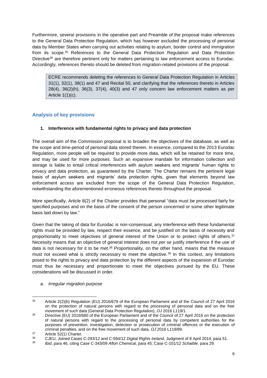Furthermore, several provisions in the operative part and Preamble of the proposal make references to the General Data Protection Regulation, which has however excluded the processing of personal data by Member States when carrying out activities relating to asylum, border control and immigration from its scope. <sup>35</sup> References to the General Data Protection Regulation and Data Protection Directive<sup>36</sup> are therefore pertinent only for matters pertaining to law enforcement access to Eurodac. Accordingly, references thereto should be deleted from migration-related provisions of the proposal.

ECRE recommends deleting the references to General Data Protection Regulation in Articles 31(1), 32(1), 38(1) and 47 and Recital 50, and clarifying that the references thereto in Articles  $28(4)$ ,  $36(2)(h)$ ,  $36(3)$ ,  $37(4)$ ,  $40(3)$  and  $47$  only concern law enforcement matters as per Article 1(1)(c).

# <span id="page-6-0"></span>**Analysis of key provisions**

#### <span id="page-6-1"></span>**1. Interference with fundamental rights to privacy and data protection**

The overall aim of the Commission proposal is to broaden the objectives of the database, as well as the scope and time-period of personal data stored therein. In essence, compared to the 2013 Eurodac Regulation, more people will be required to provide more data, which will be retained for more time, and may be used for more purposes. Such an expansive mandate for information collection and storage is liable to entail critical interferences with asylum seekers and migrants' human rights to privacy and data protection, as guaranteed by the Charter. The Charter remains the pertinent legal basis of asylum seekers and migrants' data protection rights, given that elements beyond law enforcement access are excluded from the scope of the General Data Protection Regulation, notwithstanding the aforementioned erroneous references thereto throughout the proposal.

More specifically, Article 8(2) of the Charter provides that personal "data must be processed fairly for specified purposes and on the basis of the consent of the person concerned or some other legitimate basis laid down by law."

Given that the taking of data for Eurodac is non-consensual, any interference with these fundamental rights must be provided by law, respect their essence, and be justified on the basis of necessity and proportionality to meet objectives of general interest of the Union or to protect rights of others.<sup>37</sup> Necessity means that an objective of general interest does not *per se* justify interference if the use of data is not necessary for it to be met.<sup>38</sup> Proportionality, on the other hand, means that the measure must not exceed what is strictly necessary to meet the objective.<sup>39</sup> In this context, any limitations posed to the rights to privacy and data protection by the different aspects of the expansion of Eurodac must thus be necessary and proportionate to meet the objectives pursued by the EU. These considerations will be discussed in order.

#### *a. Irregular migration purpose*

<sup>1</sup> <sup>35</sup> Article 2(2)(b) Regulation (EU) 2016/679 of the European Parliament and of the Council of 27 April 2016 on the protection of natural persons with regard to the processing of personal data and on the free movement of such data (General Data Protection Regulation), *OJ* 2016 L119/1.

<sup>&</sup>lt;sup>36</sup> Directive (EU) 2016/680 of the European Parliament and of the Council of 27 April 2016 on the protection of natural persons with regard to the processing of personal data by competent authorities for the purposes of prevention, investigation, detection or prosecution of criminal offences or the execution of criminal penalties, and on the free movement of such data, *OJ* 2016 L119/89.

 $37$  Article 52(1) Charter.

<sup>38</sup> CJEU, Joined Cases C-293/12 and C-594/12 *Digital Rights Ireland*, Judgment of 8 April 2014, para 51.

<sup>39</sup> *Ibid*, para 46, citing Case C-343/09 *Afton Chemical*, para 45; Case C-101/12 *Schaible*, para 29.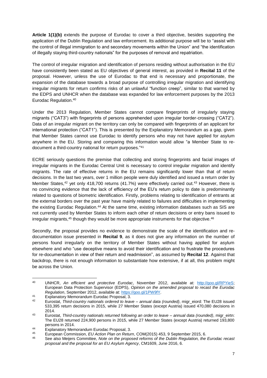**Article 1(1)(b)** extends the purpose of Eurodac to cover a third objective, besides supporting the application of the Dublin Regulation and law enforcement. Its additional purpose will be to "assist with the control of illegal immigration to and secondary movements within the Union" and "the identification of illegally staying third-country nationals" for the purposes of removal and repatriation.

The control of irregular migration and identification of persons residing without authorisation in the EU have consistently been stated as EU objectives of general interest, as provided in **Recital 11** of the proposal. However, unless the use of Eurodac to that end is necessary and proportionate, the expansion of the database towards a broad purpose of controlling irregular migration and identifying irregular migrants for return confirms risks of an unlawful "function creep", similar to that warned by the EDPS and UNHCR when the database was expanded for law enforcement purposes by the 2013 Eurodac Regulation. 40

Under the 2013 Regulation, Member States cannot compare fingerprints of irregularly staying migrants ("CAT3") with fingerprints of persons apprehended upon irregular border-crossing ("CAT2"). Data of an irregular migrant on the territory can only be compared with fingerprints of an applicant for international protection ("CAT1"). This is presented by the Explanatory Memorandum as a gap, given that Member States cannot use Eurodac to identify persons who may not have applied for asylum anywhere in the EU. Storing and comparing this information would allow "a Member State to redocument a third-country national for return purposes." 41

ECRE seriously questions the premise that collecting and storing fingerprints and facial images of irregular migrants in the Eurodac Central Unit is necessary to control irregular migration and identify migrants. The rate of effective returns in the EU remains significantly lower than that of return decisions. In the last two years, over 1 million people were duly identified and issued a return order by Member States,<sup>42</sup> yet only 418,700 returns (41.7%) were effectively carried out.<sup>43</sup> However, there is no convincing evidence that the lack of efficiency of the EU's return policy to date is predominantly related to questions of biometric identification. Firstly, problems relating to identification of entrants at the external borders over the past year have mainly related to failures and difficulties in implementing the existing Eurodac Regulation.<sup>44</sup> At the same time, existing information databases such as SIS are not currently used by Member States to inform each other of return decisions or entry bans issued to irregular migrants, $45$  though they would be more appropriate instruments for that objective.  $46$ 

Secondly, the proposal provides no evidence to demonstrate the scale of the identification and redocumentation issue presented in **Recital 9**, as it does not give any information on the number of persons found irregularly on the territory of Member States without having applied for asylum elsewhere and who "use deceptive means to avoid their identification and to frustrate the procedures for re-documentation in view of their return and readmission", as assumed by **Recital 12**. Against that backdrop, there is not enough information to substantiate how extensive, if at all, this problem might be across the Union.

 $40$ <sup>40</sup> UNHCR, *An efficient and protective Eurodac*, November 2012, available at: [http://goo.gl/RPYieS;](http://goo.gl/RPYieS) European Data Protection Supervisor (EDPS), *Opinion on the amended proposal to recast the Eurodac Regulation*, September 2012, available at: [https://goo.gl/1PW9fY.](https://goo.gl/1PW9fY)

<sup>41</sup> Explanatory Memorandum Eurodac Proposal, 3.<br>42 Europtet, Third country patiencle ordered to local

<sup>42</sup> Eurostat, *Third-country nationals ordered to leave – annual data (rounded)*, migr\_eiord: The EU28 issued 533,395 return decisions in 2015, while 27 Member States (except Austria) issued 470,080 decisions in 2014.

<sup>43</sup> Eurostat, *Third-country nationals returned following an order to leave – annual data (rounded)*, migr\_eirtn: The EU28 returned 224,900 persons in 2015, while 27 Member States (except Austria) returned 193,800 persons in 2014.

<sup>&</sup>lt;sup>44</sup> Explanatory Memorandum Eurodac Proposal, 3.<br><sup>45</sup> European Commission, *ELLA* etian Plan an Rotur

<sup>45</sup> European Commission, *EU Action Plan on Return*, COM(2015) 453, 9 September 2015, 6.

<sup>46</sup> See also Meijers Committee, *Note on the proposed reforms of the Dublin Regulation, the Eurodac recast proposal and the proposal for an EU Asylum Agency*, CM1609, June 2016, 6.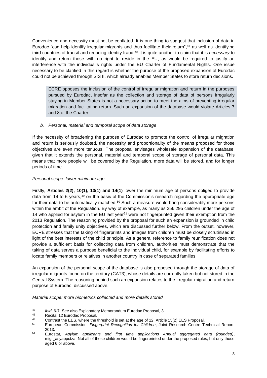Convenience and necessity must not be conflated. It is one thing to suggest that inclusion of data in Eurodac "can help identify irregular migrants and thus facilitate their return", <sup>47</sup> as well as identifying third countries of transit and reducing identity fraud.<sup>48</sup> It is quite another to claim that it is *necessary* to identify and return those with no right to reside in the EU, as would be required to justify an interference with the individual's rights under the EU Charter of Fundamental Rights. One issue necessary to be clarified in this regard is whether the purpose of the proposed expansion of Eurodac could not be achieved through SIS II, which already enables Member States to store return decisions.

ECRE opposes the inclusion of the control of irregular migration and return in the purposes pursued by Eurodac, insofar as the collection and storage of data of persons irregularly staying in Member States is not a necessary action to meet the aims of preventing irregular migration and facilitating return. Such an expansion of the database would violate Articles 7 and 8 of the Charter.

#### *b. Personal, material and temporal scope of data storage*

If the necessity of broadening the purpose of Eurodac to promote the control of irregular migration and return is seriously doubted, the necessity and proportionality of the means proposed for those objectives are even more tenuous. The proposal envisages wholesale expansion of the database, given that it extends the personal, material and temporal scope of storage of personal data. This means that more people will be covered by the Regulation, more data will be stored, and for longer periods of time.

#### *Personal scope: lower minimum age*

Firstly, **Articles 2(2), 10(1), 13(1) and 14(1)** lower the minimum age of persons obliged to provide data from 14 to 6 years, <sup>49</sup> on the basis of the Commission's research regarding the appropriate age for their data to be automatically matched.<sup>50</sup> Such a measure would bring considerably more persons within the ambit of the Regulation. By way of example, as many as 256,295 children under the age of 14 who applied for asylum in the EU last year<sup>51</sup> were not fingerprinted given their exemption from the 2013 Regulation. The reasoning provided by the proposal for such an expansion is grounded in child protection and family unity objectives, which are discussed further below. From the outset, however, ECRE stresses that the taking of fingerprints and images from children must be closely scrutinised in light of the best interests of the child principle. As a general reference to family reunification does not provide a sufficient basis for collecting data from children, authorities must demonstrate that the taking of data serves a purpose beneficial to the individual child, for example by facilitating efforts to locate family members or relatives in another country in case of separated families.

An expansion of the personal scope of the database is also proposed through the storage of data of irregular migrants found on the territory (CAT3), whose details are currently taken but not stored in the Central System. The reasoning behind such an expansion relates to the irregular migration and return purpose of Eurodac, discussed above.

*Material scope: more biometrics collected and more details stored*

<sup>&</sup>lt;u>.</u> <sup>47</sup> *Ibid*, 6-7. See also Explanatory Memorandum Eurodac Proposal, 3.

<sup>48</sup> Recital 12 Eurodac Proposal.<br>49 Contract the EES where the 1

<sup>49</sup> Contrast the EES, where the threshold is set at the age of 12: Article 15(2) EES Proposal.<br>50 European Commission, *Eingermitt Poposaition for Children*, Joint Bosocrab Contra T

<sup>50</sup> European Commission, *Fingerprint Recognition for Children*, Joint Research Centre Technical Report, 2013.

<sup>51</sup> Eurostat, *Asylum applicants and first time applications Annual aggregated data (rounded)*, migr\_asyappctza. Not all of these children would be fingerprinted under the proposed rules, but only those aged 6 or above.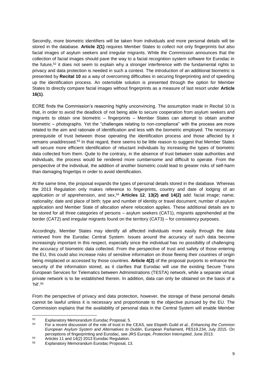Secondly, more biometric identifiers will be taken from individuals and more personal details will be stored in the database. **Article 2(1)** requires Member States to collect not only fingerprints but also facial images of asylum seekers and irregular migrants. While the Commission announces that the collection of facial images should pave the way to a facial recognition system software for Eurodac in the future,<sup>52</sup> it does not seem to explain why a stronger interference with the fundamental rights to privacy and data protection is needed in such a context. The introduction of an additional biometric is presented by **Recital 10** as a way of overcoming difficulties in securing fingerprinting and of speeding up the identification process. An ostensible solution is presented through the option for Member States to directly compare facial images without fingerprints as a measure of last resort under **Article 16(1)**.

ECRE finds the Commission's reasoning highly unconvincing. The assumption made in Recital 10 is that, in order to avoid the deadlock of not being able to secure cooperation from asylum seekers and migrants to obtain one biometric – fingerprints – Member States can attempt to obtain another biometric – photographs. Yet the "challenges relating to non-compliance" with the process are more related to the aim and rationale of identification and less with the biometric employed. The necessary prerequisite of trust between those operating the identification process and those affected by it remains unaddressed.<sup>53</sup> In that regard, there seems to be little reason to suggest that Member States will secure more efficient identification of reluctant individuals by increasing the types of biometric data collected from them. Quite to the contrary, in the absence of trust between state authorities and individuals, the process would be rendered more cumbersome and difficult to operate. From the perspective of the individual, the addition of another biometric could lead to greater risks of self-harm than damaging fingertips in order to avoid identification.

At the same time, the proposal expands the types of personal details stored in the database. Whereas the 2013 Regulation only makes reference to fingerprints, country and date of lodging of an application or of apprehension, and sex,<sup>54</sup> **Articles 12**, **13(2) and 14(2)** add: facial image; name; nationality; date and place of birth; type and number of identity or travel document; number of asylum application and Member State of allocation where relocation applies. These additional details are to be stored for all three categories of persons – asylum seekers (CAT1), migrants apprehended at the border (CAT2) and irregular migrants found on the territory (CAT3) – for consistency purposes.

Accordingly, Member States may identify all affected individuals more easily through the data retrieved from the Eurodac Central System. Issues around the accuracy of such data become increasingly important in this respect, especially since the individual has no possibility of challenging the accuracy of biometric data collected. From the perspective of trust and safety of those entering the EU, this could also increase risks of sensitive information on those fleeing their countries of origin being misplaced or accessed by those countries. **Article 4(2)** of the proposal purports to enhance the security of the information stored, as it clarifies that Eurodac will use the existing Secure Trans European Services for Telematics between Administrations (TESTA) network, while a separate virtual private network is to be established therein. In addition, data can only be obtained on the basis of a 'hit' 55

From the perspective of privacy and data protection, however, the storage of these personal details cannot be lawful unless it is necessary and proportionate to the objective pursued by the EU. The Commission explains that the availability of personal data in the Central System will enable Member

 $52$  $52$  Explanatory Memorandum Eurodac Proposal, 5.<br> $53$  Est a recent disquasion of the role of trust in the

<sup>53</sup> For a recent discussion of the role of trust in the CEAS, see Elspeth Guild *et al.*, *Enhancing the Common European Asylum System and Alternatives to Dublin*, European Parliament, PE519.234, July 2015. On perceptions of fingerprinting and Eurodac, see JRS Europe, *Protection Interrupted*, June 2013.

 $^{54}$  Articles 11 and 14(2) 2013 Eurodac Regulation.<br> $^{55}$  Explanatory Memorandum Eurodac Proposal 11

<sup>55</sup> Explanatory Memorandum Eurodac Proposal, 13.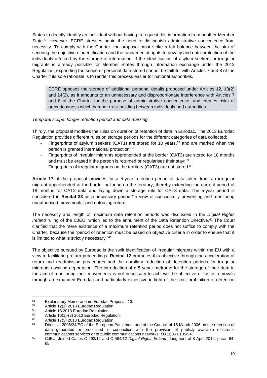States to directly identify an individual without having to request this information from another Member State.<sup>56</sup> However, ECRE stresses again the need to distinguish administrative convenience from necessity. To comply with the Charter, the proposal must strike a fair balance between the aim of securing the objective of identification and the fundamental rights to privacy and data protection of the individuals affected by the storage of information. If the identification of asylum seekers or irregular migrants is already possible for Member States through information exchange under the 2013 Regulation, expanding the scope of personal data stored cannot be faithful with Articles 7 and 8 of the Charter if its sole rationale is to render this process easier for national authorities.

ECRE opposes the storage of additional personal details proposed under Articles 12, 13(2) and 14(2), as it amounts to an unnecessary and disproportionate interference with Articles 7 and 8 of the Charter for the purpose of administrative convenience, and creates risks of precariousness which hamper trust-building between individuals and authorities.

#### *Temporal scope: longer retention period and data marking*

Thirdly, the proposal modifies the rules on duration of retention of data in Eurodac. The 2013 Eurodac Regulation provides different rules on storage periods for the different categories of data collected:

- Fingerprints of asylum seekers (CAT1) are stored for 10 years, <sup>57</sup> and are marked when the person is granted international protection;<sup>58</sup>
- Fingerprints of irregular migrants apprehended at the border (CAT2) are stored for 18 months and must be erased if the person is returned or regularises their stay;<sup>59</sup>
- Fingerprints of irregular migrants on the territory (CAT3) are not stored.<sup>60</sup>

**Article 17** of the proposal provides for a 5-year retention period of data taken from an irregular migrant apprehended at the border or found on the territory, thereby extending the current period of 18 months for CAT2 data and laying down a storage rule for CAT3 data. The 5-year period is considered in **Recital 33** as a necessary period "in view of successfully preventing and monitoring unauthorised movements" and enforcing return.

The necessity and length of maximum data retention periods was discussed in the *Digital Rights*  Ireland ruling of the CJEU, which led to the annulment of the Data Retention Directive.<sup>61</sup> The Court clarified that the mere existence of a maximum retention period does not suffice to comply with the Charter, because the "period of retention must be based on objective criteria in order to ensure that it is limited to what is strictly necessary."<sup>62</sup>

The objective pursued by Eurodac is the swift identification of irregular migrants within the EU with a view to facilitating return proceedings. **Recital 12** promotes this objective through the acceleration of return and readmission procedures and the corollary reduction of detention periods for irregular migrants awaiting deportation. The introduction of a 5-year timeframe for the storage of their data in the aim of monitoring their movements is not necessary to achieve the objective of faster removals through an expanded Eurodac and particularly excessive in light of the strict prohibition of detention

<sup>1</sup>  $^{56}$  Explanatory Memorandum Eurodac Proposal, 13.<br> $^{57}$  Article 12(1) 2012 Eurodae Bequilition

 $^{57}$  Article 12(1) 2013 Eurodac Regulation.

 $^{58}$  Article 18 2013 Eurodac Regulation.<br> $^{59}$  Article 16(1) (2) 2013 Eurodac Boque

 $^{59}$  Article 16(1)-(2) 2013 Eurodac Regulation.

 $^{60}$  Article 17(3) 2013 Eurodac Regulation.

Directive 2006/24/EC of the European Parliament and of the Council of 15 March 2006 on the retention of data generated or processed in connection with the provision of publicly available electronic communications services or of public communications networks, *OJ* 2006 L105/54.

<sup>62</sup> CJEU, Joined Cases C-293/12 and C-594/12 *Digital Rights Ireland*, Judgment of 8 April 2014, paras 64- 65.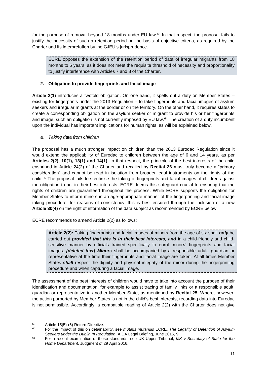for the purpose of removal beyond 18 months under EU law.<sup>63</sup> In that respect, the proposal fails to justify the necessity of such a retention period on the basis of objective criteria, as required by the Charter and its interpretation by the CJEU's jurisprudence.

ECRE opposes the extension of the retention period of data of irregular migrants from 18 months to 5 years, as it does not meet the requisite threshold of necessity and proportionality to justify interference with Articles 7 and 8 of the Charter.

# <span id="page-11-0"></span>**2. Obligation to provide fingerprints and facial image**

**Article 2(1)** introduces a twofold obligation. On one hand, it spells out a duty on Member States – existing for fingerprints under the 2013 Regulation – to take fingerprints and facial images of asylum seekers and irregular migrants at the border or on the territory. On the other hand, it requires states to create a corresponding obligation on the asylum seeker or migrant to provide his or her fingerprints and image; such an obligation is not currently imposed by EU law.<sup>64</sup> The creation of a duty incumbent upon the individual has important implications for human rights, as will be explained below.

# *a. Taking data from children*

The proposal has a much stronger impact on children than the 2013 Eurodac Regulation since it would extend the applicability of Eurodac to children between the age of 6 and 14 years, as per **Articles 2(2), 10(1), 13(1) and 14(1)**. In that respect, the principle of the best interests of the child enshrined in Article 24(2) of the Charter and recalled by **Recital 26** must truly become a "primary consideration" and cannot be read in isolation from broader legal instruments on the rights of the child. <sup>65</sup> The proposal fails to scrutinise the taking of fingerprints and facial images of children against the obligation to act in their best interests. ECRE deems this safeguard crucial to ensuring that the rights of children are guaranteed throughout the process. While ECRE supports the obligation for Member States to inform minors in an age-appropriate manner of the fingerprinting and facial image taking procedure, for reasons of consistency, this is best ensured through the inclusion of a new **Article 30(4)** on the right of information of the data subject as recommended by ECRE below.

ECRE recommends to amend Article 2(2) as follows:

**Article 2(2):** Taking fingerprints and facial images of minors from the age of six shall *only* be carried out *provided that this is in their best interests, and* in a child-friendly and childsensitive manner by officials trained specifically to enrol minor*s*' fingerprints and facial images. *[deleted text] Minors* shall be accompanied by a responsible adult, guardian or representative at the time their fingerprints and facial image are taken. At all times Member States *shall* respect the dignity and physical integrity of the minor during the fingerprinting procedure and when capturing a facial image.

The assessment of the best interests of children would have to take into account the purpose of their identification and documentation, for example to assist tracing of family links or a responsible adult, guardian or representative in another Member State, as mentioned by **Recital 25**. Where, however, the action purported by Member States is not in the child's best interests, recording data into Eurodac is not permissible. Accordingly, a compatible reading of Article 2(2) with the Charter does not give

1

 $^{63}$  Article 15(5)-(6) Return Directive.

<sup>64</sup> For the impact of this on detainability, see *mutatis mutandis* ECRE, *The Legality of Detention of Asylum Seekers under the Dublin III Regulation*, AIDA Legal Briefing, June 2015, 9.

<sup>65</sup> For a recent examination of these standards, see UK Upper Tribunal, *MK v Secretary of State for the Home Department*, Judgment of 29 April 2016.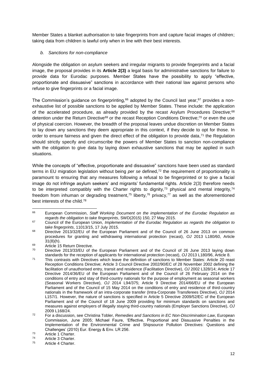Member States a blanket authorisation to take fingerprints from and capture facial images of children; taking data from children is lawful only when in line with their best interests.

#### *b. Sanctions for non-compliance*

Alongside the obligation on asylum seekers and irregular migrants to provide fingerprints and a facial image, the proposal provides in its **Article 2(3)** a legal basis for administrative sanctions for failure to provide data for Eurodac purposes. Member States have the possibility to apply "effective, proportionate and dissuasive" sanctions in accordance with their national law against persons who refuse to give fingerprints or a facial image.

The Commission's guidance on fingerprinting,<sup>66</sup> adopted by the Council last year,<sup>67</sup> provides a nonexhaustive list of possible sanctions to be applied by Member States. These include: the application of the accelerated procedure, as already provided by the recast Asylum Procedures Directive;<sup>68</sup> detention under the Return Directive<sup>69</sup> or the recast Reception Conditions Directive;<sup>70</sup> or even the use of physical coercion. However, the breadth of the proposal leaves undue discretion on Member States to lay down any sanctions they deem appropriate in this context, if they decide to opt for those. In order to ensure fairness and given the direct effect of the obligation to provide data, $7<sup>1</sup>$  the Regulation should strictly specify and circumscribe the powers of Member States to sanction non-compliance with the obligation to give data by laying down exhaustive sanctions that may be applied in such situations.

While the concepts of "effective, proportionate and dissuasive" sanctions have been used as standard terms in EU migration legislation without being *per se* defined,<sup>72</sup> the requirement of proportionality is paramount to ensuring that any measures following a refusal to be fingerprinted or to give a facial image do not infringe asylum seekers' and migrants' fundamental rights. Article 2(3) therefore needs to be interpreted compatibly with the Charter rights to dignity,<sup>73</sup> physical and mental integrity,<sup>74</sup> freedom from inhuman or degrading treatment,<sup>75</sup> liberty,<sup>76</sup> privacy,<sup>77</sup> as well as the aforementioned best interests of the child.<sup>78</sup>

<sup>1</sup> <sup>66</sup> European Commission, *Staff Working Document on the implementation of the Eurodac Regulation as regards the obligation to take fingerprints*, SWD(2015) 150, 27 May 2015.

<sup>67</sup> Council of the European Union, *Implementation of the Eurodac Regulation as regards the obligation to take fingerprints*, 11013/15, 17 July 2015.

<sup>&</sup>lt;sup>68</sup> Directive 2013/32/EU of the European Parliament and of the Council of 26 June 2013 on common procedures for granting and withdrawing international protection (recast), *OJ* 2013 L180/60, Article 31(8)(h).

 $\frac{69}{20}$  Article 15 Return Directive.

Directive 2013/33/EU of the European Parliament and of the Council of 26 June 2013 laying down standards for the reception of applicants for international protection (recast), *OJ* 2013 L180/96, Article 8.

<sup>71</sup> This contrasts with Directives which leave the definition of sanctions to Member States: Article 20 reast Reception Conditions Directive; Article 3 Council Directive 2002/90/EC of 28 November 2002 defining the facilitation of unauthorised entry, transit and residence (Facilitation Directive), *OJ* 2002 L328/14; Article 17 Directive 2014/36/EU of the European Parliament and of the Council of 26 February 2014 on the conditions of entry and stay of third-country nationals for the purpose of employment as seasonal workers (Seasonal Workers Directive), *OJ* 2014 L94/375; Article 9 Directive 2014/66/EU of the European Parliament and of the Council of 15 May 2014 on the conditions of entry and residence of third-country nationals in the framework of an intra-corporate transfer (Intra-Corporate Transferees Directive), *OJ* 2014 L157/1. However, the nature of sanctions is specified in Article 5 Directive 2009/52/EC of the European Parliament and of the Council of 18 June 2009 providing for minimum standards on sanctions and measures against employers of illegally staying third-country nationals (Employer Sanctions Directive), *OJ*  2009 L168/24.

<sup>72</sup> For a discussion, see Christina Tobler, *Remedies and Sanctions in EC Non-Discrimination Law*, European Commission, June 2005; Michael Faure, 'Effective, Proportional and Dissuasive Penalties in the Implementation of the Environmental Crime and Shipsource Pollution Directives: Questions and Challenges' (2010) Eur. Energy & Env. LR 256.

 $73$  Article 1 Charter.

 $74$  Article 3 Charter.<br> $75$  Article 4 Charter

Article 4 Charter.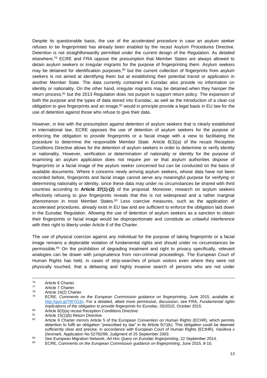Despite its questionable basis, the use of the accelerated procedure in case an asylum seeker refuses to be fingerprinted has already been enabled by the recast Asylum Procedures Directive. Detention is not straightforwardly permitted under the current design of the Regulation. As detailed elsewhere,<sup>79</sup> ECRE and FRA oppose the presumption that Member States are always allowed to detain asylum seekers or irregular migrants for the purpose of fingerprinting them. Asylum seekers may be detained for identification purposes, $80$  but the current collection of fingerprints from asylum seekers is not aimed at identifying them but at establishing their potential transit or application in another Member State. The data currently contained in Eurodac also provide no information on identity or nationality. On the other hand, irregular migrants may be detained when they hamper the return process,<sup>81</sup> but the 2013 Regulation does not purport to support return policy. The expansion of both the purpose and the types of data stored into Eurodac, as well as the introduction of a clear-cut obligation to give fingerprints and an image,<sup>82</sup> would in principle provide a legal basis in EU law for the use of detention against those who refuse to give their data.

However, in line with the presumption against detention of asylum seekers that is clearly established in international law, ECRE opposes the use of detention of asylum seekers for the purpose of enforcing the obligation to provide fingerprints or a facial image with a view to facilitating the procedure to determine the responsible Member State. Article 8(3)(a) of the recast Reception Conditions Directive allows for the detention of asylum seekers in order to determine or verify identity or nationality. However, verification or determination of nationality or identity for the purpose of examining an asylum application does not require *per se* that asylum authorities dispose of fingerprints or a facial image of the asylum seeker concerned but can be conducted on the basis of available documents. Where it concerns newly arriving asylum seekers, whose data have not been recorded before, fingerprints and facial image cannot serve any meaningful purpose for verifying or determining nationality or identity, since these data may under no circumstances be shared with third countries according to **Article 37(1)-(2)** of the proposal. Moreover, research on asylum seekers effectively refusing to give fingerprints reveals that this is not widespread and a rather marginal phenomenon in most Member States.<sup>83</sup> Less coercive measures, such as the application of accelerated procedures, already exist in EU law and are sufficient to enforce the obligation laid down in the Eurodac Regulation. Allowing the use of detention of asylum seekers as a sanction to obtain their fingerprints or facial image would be disproportionate and constitute an unlawful interference with their right to liberty under Article 6 of the Charter.

The use of physical coercion against *any* individual for the purpose of taking fingerprints or a facial image remains a deplorable violation of fundamental rights and should under no circumstances be permissible.<sup>84</sup> On the prohibition of degrading treatment and right to privacy specifically, relevant analogies can be drawn with jurisprudence from non-criminal proceedings. The European Court of Human Rights has held, in cases of strip-searches of prison visitors even where they were not physically touched, that a debasing and highly invasive search of persons who are not under

80 Article 8(3)(a) recast Reception Conditions Directive.<br>81 Article 15(1)(b) Poturn Directive

<sup>76</sup>  $76$  Article 6 Charter.

 $77$  Article 7 Charter.

 $78$  Article 24(2) Charter.

<sup>79</sup> ECRE, *Comments on the European Commission guidance on fingerprinting*, June 2015, available at: [http://goo.gl/7WYG3n.](http://goo.gl/7WYG3n) For a detailed, albeit more permissive, discussion, see FRA, *Fundamental rights implications of the obligation to provide fingerprints for Eurodac*, 05/2015, October 2015.

<sup>81</sup> Article 15(1)(b) Return Directive.

Article 6 Charter mirrors Article 5 of the European Convention on Human Rights (ECHR), which permits detention to fulfil an obligation "prescribed by law" in its Article 5(1)(b). This obligation could be deemed sufficiently clear and precise, in accordance with European Court of Human Rights (ECtHR), *Vasileva v Denmark*, Application No 52792/99, Judgment of 25 September 2003.

<sup>83</sup> See European Migration Network, *Ad Hoc Query on Eurodac fingerprinting*, 22 September 2014.<br>References Communication Network, Ad Hoc Query on Eurodac fingerprinting, 22 September 2014.

<sup>84</sup> ECRE, *Comments on the European Commission guidance on fingerprinting*, June 2015, 8-10.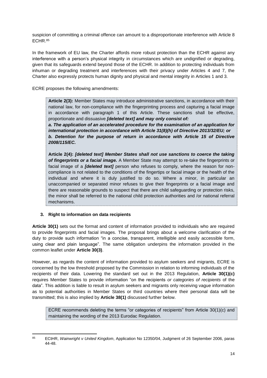suspicion of committing a criminal offence can amount to a disproportionate interference with Article 8 ECHR.<sup>85</sup>

In the framework of EU law, the Charter affords more robust protection than the ECHR against any interference with a person's physical integrity in circumstances which are undignified or degrading, given that its safeguards extend beyond those of the ECHR. In addition to protecting individuals from inhuman or degrading treatment and interferences with their privacy under Articles 4 and 7, the Charter also expressly protects human dignity and physical and mental integrity in Articles 1 and 3.

ECRE proposes the following amendments:

**Article 2(3):** Member States may introduce administrative sanctions, in accordance with their national law, for non-compliance with the fingerprinting process and capturing a facial image in accordance with paragraph 1 of this Article. These sanctions shall be effective, proportionate and dissuasive *[deleted text] and may only consist of:*

*a. The application of an accelerated procedure for the examination of an application for international protection in accordance with Article 31(8)(h) of Directive 2013/32/EU; or b. Detention for the purpose of return in accordance with Article 15 of Directive 2008/115/EC.*

**Article 2(4):** *[deleted text] Member States shall not use sanctions to coerce the taking of fingerprints or a facial image.* A Member State may attempt to re-take the fingerprints or facial image of a *[deleted text]* person who refuses to comply, where the reason for noncompliance is not related to the conditions of the fingertips or facial image or the health of the individual and where it is duly justified to do so. Where a minor, in particular an unaccompanied or separated minor refuses to give their fingerprints or a facial image and there are reasonable grounds to suspect that there are child safeguarding or protection risks, the minor shall be referred to the national child protection authorities and /or national referral mechanisms.

# <span id="page-14-0"></span>**3. Right to information on data recipients**

**Article 30(1)** sets out the format and content of information provided to individuals who are required to provide fingerprints and facial images. The proposal brings about a welcome clarification of the duty to provide such information "in a concise, transparent, intelligible and easily accessible form, using clear and plain language". The same obligation underpins the information provided in the common leaflet under **Article 30(3)**.

However, as regards the content of information provided to asylum seekers and migrants, ECRE is concerned by the low threshold proposed by the Commission in relation to informing individuals of the recipients of their data. Lowering the standard set out in the 2013 Regulation, **Article 30(1)(c)**  requires Member States to provide information "on the recipients *or categories of recipients* of the data". This addition is liable to result in asylum seekers and migrants only receiving vague information as to potential authorities in Member States or third countries where their personal data will be transmitted; this is also implied by **Article 38(1)** discussed further below.

ECRE recommends deleting the terms "or categories of recipients" from Article 30(1)(c) and maintaining the wording of the 2013 Eurodac Regulation.

<sup>85</sup> <sup>85</sup> ECtHR, *Wainwright v United Kingdom*, Application No 12350/04, Judgment of 26 September 2006, paras 44-48.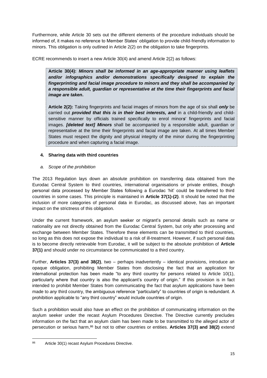Furthermore, while Article 30 sets out the different elements of the procedure individuals should be informed of, it makes no reference to Member States' obligation to provide child-friendly information to minors. This obligation is only outlined in Article 2(2) on the obligation to take fingerprints.

ECRE recommends to insert a new Article 30(4) and amend Article 2(2) as follows:

**Article 30(4):** *Minors shall be informed in an age-appropriate manner using leaflets and/or infographics and/or demonstrations specifically designed to explain the fingerprinting and facial image procedure to minors and they shall be accompanied by a responsible adult, guardian or representative at the time their fingerprints and facial image are taken***.**

**Article 2(2):** Taking fingerprints and facial images of minors from the age of six shall *only* be carried out *provided that this is in their best interests, and* in a child-friendly and childsensitive manner by officials trained specifically to enrol minor*s*' fingerprints and facial images. *[deleted text] Minors* shall be accompanied by a responsible adult, guardian or representative at the time their fingerprints and facial image are taken. At all times Member States must respect the dignity and physical integrity of the minor during the fingerprinting procedure and when capturing a facial image.

# <span id="page-15-0"></span>**4. Sharing data with third countries**

# *a. Scope of the prohibition*

The 2013 Regulation lays down an absolute prohibition on transferring data obtained from the Eurodac Central System to third countries, international organisations or private entities, though personal data processed by Member States following a Eurodac 'hit' could be transferred to third countries in some cases. This principle is maintained in **Article 37(1)-(2)**. It should be noted that the inclusion of more categories of personal data in Eurodac, as discussed above, has an important impact on the strictness of this obligation.

Under the current framework, an asylum seeker or migrant's personal details such as name or nationality are not directly obtained from the Eurodac Central System, but only after processing and exchange between Member States. Therefore these elements can be transmitted to third countries, so long as this does not expose the individual to a risk of ill-treatment. However, if such personal data is to become directly retrievable from Eurodac, it will be subject to the absolute prohibition of **Article 37(1)** and should under no circumstance be communicated to a third country.

Further, **Articles 37(3) and 38(2)**, two – perhaps inadvertently – identical provisions, introduce an opaque obligation, prohibiting Member States from disclosing the fact that an application for international protection has been made "to any third country for persons related to Article 10(1), particularly where that country is also the applicant's country of origin." If this provision is in fact intended to prohibit Member States from communicating the fact that asylum applications have been made to *any* third country, the ambiguous reference "particularly" to countries of origin is redundant. A prohibition applicable to "any third country" would include countries of origin.

Such a prohibition would also have an effect on the prohibition of communicating information on the asylum seeker under the recast Asylum Procedures Directive. The Directive currently precludes information on the fact that an asylum claim has been made to be transmitted to the alleged actor of persecution or serious harm,<sup>86</sup> but not to other countries or entities. **Articles 37(3) and 38(2)** extend

<sup>1</sup> 86 Article 30(1) recast Asylum Procedures Directive.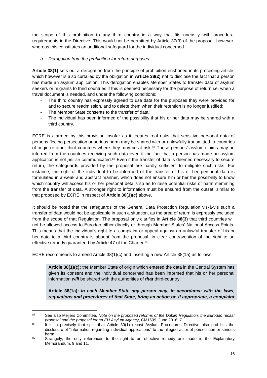the scope of this prohibition to any third country in a way that fits uneasily with procedural requirements in the Directive. This would not be permitted by Article 37(3) of the proposal, however, whereas this constitutes an additional safeguard for the individual concerned.

## *b. Derogation from the prohibition for return purposes*

**Article 38(1)** sets out a derogation from the principle of prohibition enshrined in its preceding article, which however is also curtailed by the obligation in **Article 38(2)** not to disclose the fact that a person has made an asylum application. This derogation enables Member States to transfer data of asylum seekers or migrants to third countries if this is deemed necessary for the purpose of return i.e. when a travel document is needed, and under the following conditions:

- The third country has expressly agreed to use data for the purposes they were provided for and to secure readmission, and to delete them when their retention is no longer justified;
- The Member State consents to the transfer of data:
- The individual has been informed of the possibility that his or her data may be shared with a third country.

ECRE is alarmed by this provision insofar as it creates real risks that sensitive personal data of persons fleeing persecution or serious harm may be shared with or unlawfully transmitted to countries of origin or other third countries where they may be at risk.<sup>87</sup> These persons' asylum claims may be inferred from the countries receiving such data even if the fact that a person has made an asylum application is not *per se* communicated. <sup>88</sup> Even if the transfer of data is deemed necessary to secure return, the safeguards provided by the proposal are hardly sufficient to mitigate such risks. For instance, the right of the individual to be informed of the transfer of his or her personal data is formulated in a weak and abstract manner, which does not ensure him or her the possibility to know which country will access his or her personal details so as to raise potential risks of harm stemming from the transfer of data. A stronger right to information must be ensured from the outset, similar to that proposed by ECRE in respect of **Article 30(1)(c)** above.

It should be noted that the safeguards of the General Data Protection Regulation vis-à-vis such a transfer of data would not be applicable in such a situation, as the area of return is expressly excluded from the scope of that Regulation. The proposal only clarifies in **Article 38(3)** that third countries will not be allowed access to Eurodac either directly or through Member States' National Access Points. This means that the individual's right to a complaint or appeal against an unlawful transfer of his or her data to a third country is absent from the proposal, in clear contravention of the right to an effective remedy guaranteed by Article 47 of the Charter.<sup>89</sup>

ECRE recommends to amend Article 38(1)(c) and inserting a new Article 38(1a) as follows:

**Article 38(1)(c):** the Member State of origin which entered the data in the Central System has given its consent and the individual concerned has been informed that his or her personal information *will* be shared with the authorities of *that* third-country.

**Article 38(1a):** *In each Member State any person may, in accordance with the laws, regulations and procedures of that State, bring an action or, if appropriate, a complaint* 

<sup>87</sup> See also Meijers Committee, *Note on the proposed reforms of the Dublin Regulation, the Eurodac recast proposal and the proposal for an EU Asylum Agency*, CM1609, June 2016, 7.

<sup>&</sup>lt;sup>88</sup> It is in precisely that spirit that Article 30(1) recast Asylum Procedures Directive also prohibits the disclosure of "information regarding individual applications" to the alleged actor of persecution or serious harm.

<sup>89</sup> Strangely, the only references to the right to an effective remedy are made in the Explanatory Memorandum, 9 and 11.